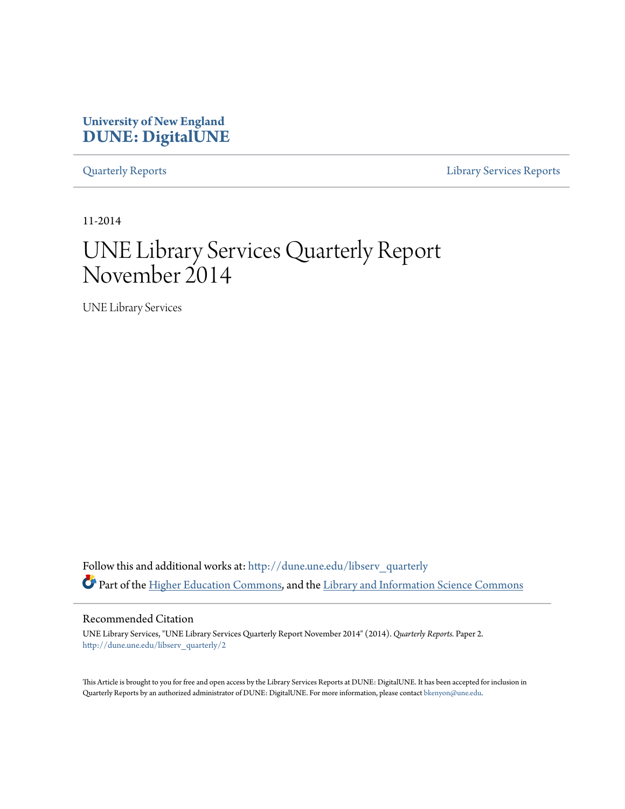### **University of New England [DUNE: DigitalUNE](http://dune.une.edu?utm_source=dune.une.edu%2Flibserv_quarterly%2F2&utm_medium=PDF&utm_campaign=PDFCoverPages)**

[Quarterly Reports](http://dune.une.edu/libserv_quarterly?utm_source=dune.une.edu%2Flibserv_quarterly%2F2&utm_medium=PDF&utm_campaign=PDFCoverPages) [Library Services Reports](http://dune.une.edu/libserv_reports?utm_source=dune.une.edu%2Flibserv_quarterly%2F2&utm_medium=PDF&utm_campaign=PDFCoverPages)

11-2014

# UNE Library Services Quarterly Report November 2014

UNE Library Services

Follow this and additional works at: [http://dune.une.edu/libserv\\_quarterly](http://dune.une.edu/libserv_quarterly?utm_source=dune.une.edu%2Flibserv_quarterly%2F2&utm_medium=PDF&utm_campaign=PDFCoverPages) Part of the [Higher Education Commons](http://network.bepress.com/hgg/discipline/1245?utm_source=dune.une.edu%2Flibserv_quarterly%2F2&utm_medium=PDF&utm_campaign=PDFCoverPages), and the [Library and Information Science Commons](http://network.bepress.com/hgg/discipline/1018?utm_source=dune.une.edu%2Flibserv_quarterly%2F2&utm_medium=PDF&utm_campaign=PDFCoverPages)

Recommended Citation

UNE Library Services, "UNE Library Services Quarterly Report November 2014" (2014). *Quarterly Reports.* Paper 2. [http://dune.une.edu/libserv\\_quarterly/2](http://dune.une.edu/libserv_quarterly/2?utm_source=dune.une.edu%2Flibserv_quarterly%2F2&utm_medium=PDF&utm_campaign=PDFCoverPages)

This Article is brought to you for free and open access by the Library Services Reports at DUNE: DigitalUNE. It has been accepted for inclusion in Quarterly Reports by an authorized administrator of DUNE: DigitalUNE. For more information, please contact [bkenyon@une.edu.](mailto:bkenyon@une.edu)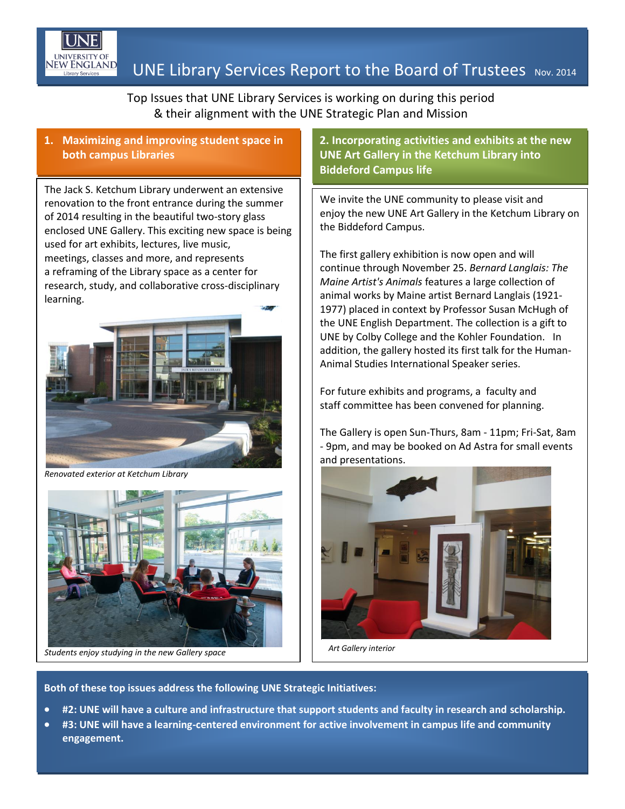

## $\frac{EW\,ENGLAND}{L\,Unary\,S\,envoes}$  UNE Library Services Report to the Board of Trustees Nov. 2014

Top Issues that UNE Library Services is working on during this period & their alignment with the UNE Strategic Plan and Mission

#### **1. Maximizing and improving student space in both campus Libraries**

The Jack S. Ketchum Library underwent an extensive renovation to the front entrance during the summer of 2014 resulting in the beautiful two-story glass enclosed UNE Gallery. This exciting new space is being used for art exhibits, lectures, live music, meetings, classes and more, and represents a reframing of the Library space as a center for research, study, and collaborative cross-disciplinary learning.



*Renovated exterior at Ketchum Library*



*Students enjoy studying in the new Gallery space*

**2. Incorporating activities and exhibits at the new UNE Art Gallery in the Ketchum Library into Biddeford Campus life**

We invite the UNE community to please visit and enjoy the new UNE Art Gallery in the Ketchum Library on the Biddeford Campus.

The first gallery exhibition is now open and will continue through November 25. *Bernard Langlais: The Maine Artist's Animals* features a large collection of animal works by Maine artist Bernard Langlais (1921- 1977) placed in context by Professor Susan McHugh of the UNE English Department. The collection is a gift to UNE by Colby College and the Kohler Foundation. In addition, the gallery hosted its first talk for the Human-Animal Studies International Speaker series.

For future exhibits and programs, a faculty and staff committee has been convened for planning.

The Gallery is open Sun-Thurs, 8am - 11pm; Fri-Sat, 8am - 9pm, and may be booked on Ad Astra for small events and presentations.



*Art Gallery interior* 

**Both of these top issues address the following UNE Strategic Initiatives:**

- **#2: UNE will have a culture and infrastructure that support students and faculty in research and scholarship.**
- **#3: UNE will have a learning-centered environment for active involvement in campus life and community engagement.**